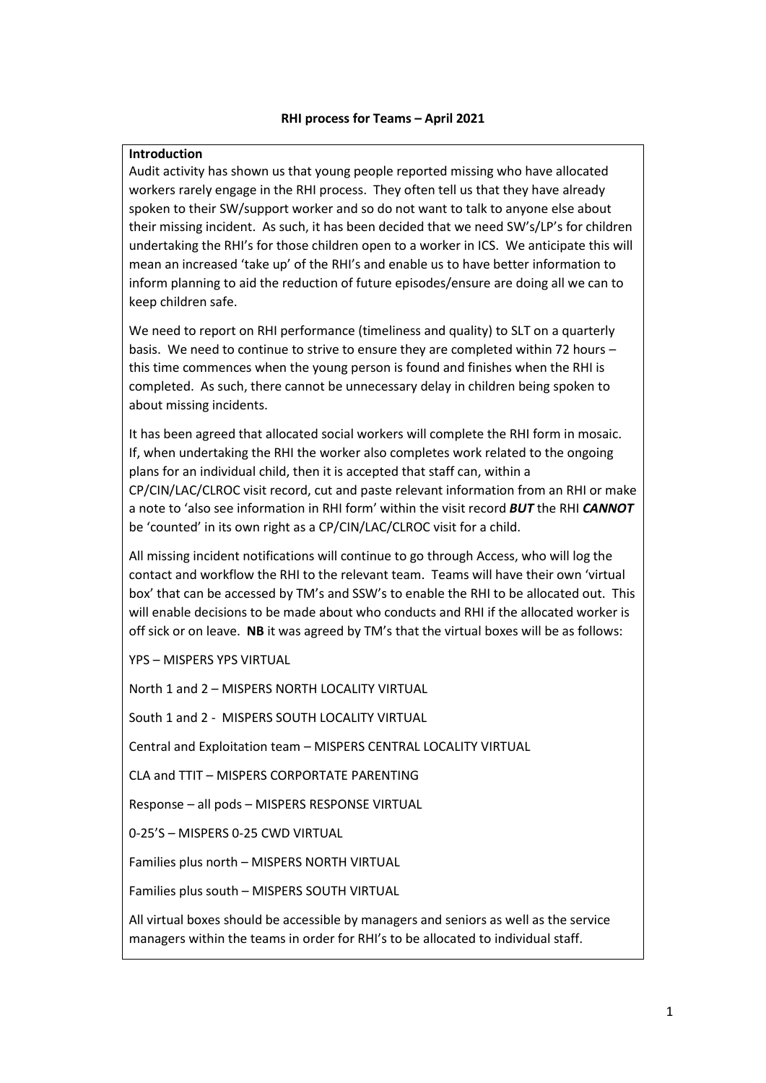### **RHI process for Teams – April 2021**

### **Introduction**

Audit activity has shown us that young people reported missing who have allocated workers rarely engage in the RHI process. They often tell us that they have already spoken to their SW/support worker and so do not want to talk to anyone else about their missing incident. As such, it has been decided that we need SW's/LP's for children undertaking the RHI's for those children open to a worker in ICS. We anticipate this will mean an increased 'take up' of the RHI's and enable us to have better information to inform planning to aid the reduction of future episodes/ensure are doing all we can to keep children safe.

We need to report on RHI performance (timeliness and quality) to SLT on a quarterly basis. We need to continue to strive to ensure they are completed within 72 hours – this time commences when the young person is found and finishes when the RHI is completed. As such, there cannot be unnecessary delay in children being spoken to about missing incidents.

It has been agreed that allocated social workers will complete the RHI form in mosaic. If, when undertaking the RHI the worker also completes work related to the ongoing plans for an individual child, then it is accepted that staff can, within a CP/CIN/LAC/CLROC visit record, cut and paste relevant information from an RHI or make a note to 'also see information in RHI form' within the visit record *BUT* the RHI *CANNOT* be 'counted' in its own right as a CP/CIN/LAC/CLROC visit for a child.

All missing incident notifications will continue to go through Access, who will log the contact and workflow the RHI to the relevant team. Teams will have their own 'virtual box' that can be accessed by TM's and SSW's to enable the RHI to be allocated out. This will enable decisions to be made about who conducts and RHI if the allocated worker is off sick or on leave. **NB** it was agreed by TM's that the virtual boxes will be as follows:

YPS – MISPERS YPS VIRTUAL

North 1 and 2 – MISPERS NORTH LOCALITY VIRTUAL

South 1 and 2 - MISPERS SOUTH LOCALITY VIRTUAL

Central and Exploitation team – MISPERS CENTRAL LOCALITY VIRTUAL

CLA and TTIT – MISPERS CORPORTATE PARENTING

Response – all pods – MISPERS RESPONSE VIRTUAL

0-25'S – MISPERS 0-25 CWD VIRTUAL

Families plus north – MISPERS NORTH VIRTUAL

Families plus south – MISPERS SOUTH VIRTUAL

All virtual boxes should be accessible by managers and seniors as well as the service managers within the teams in order for RHI's to be allocated to individual staff.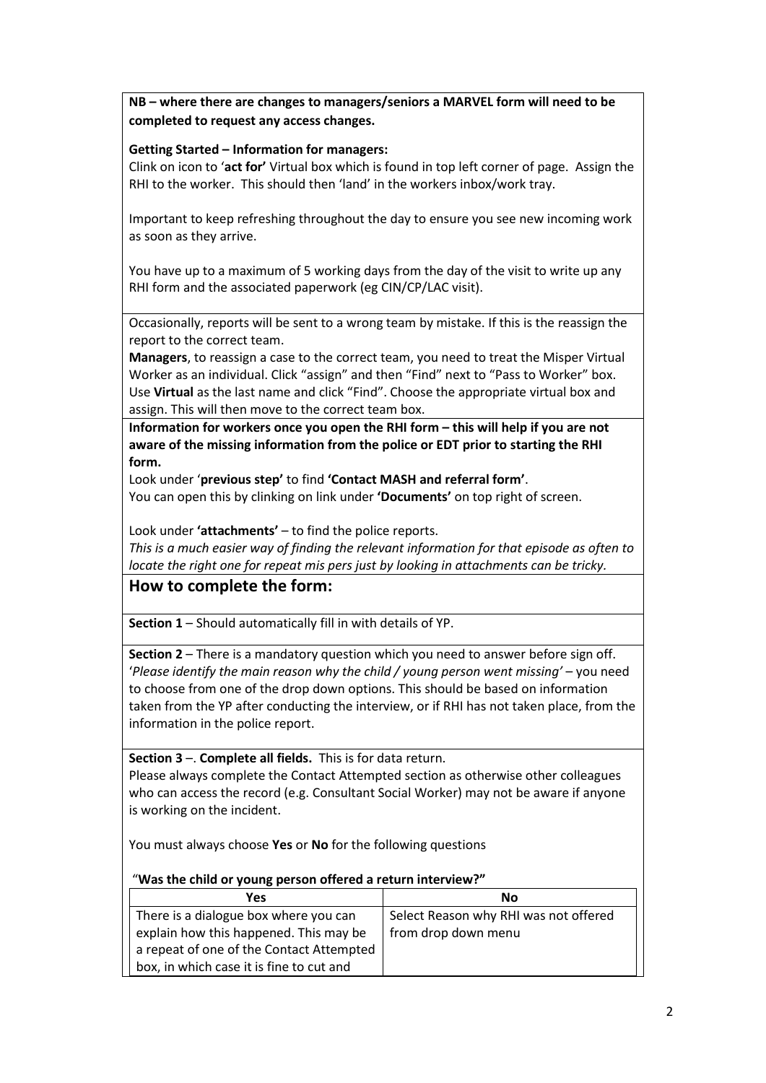**NB – where there are changes to managers/seniors a MARVEL form will need to be completed to request any access changes.** 

## **Getting Started – Information for managers:**

Clink on icon to '**act for'** Virtual box which is found in top left corner of page. Assign the RHI to the worker. This should then 'land' in the workers inbox/work tray.

Important to keep refreshing throughout the day to ensure you see new incoming work as soon as they arrive.

You have up to a maximum of 5 working days from the day of the visit to write up any RHI form and the associated paperwork (eg CIN/CP/LAC visit).

Occasionally, reports will be sent to a wrong team by mistake. If this is the reassign the report to the correct team.

**Managers**, to reassign a case to the correct team, you need to treat the Misper Virtual Worker as an individual. Click "assign" and then "Find" next to "Pass to Worker" box. Use **Virtual** as the last name and click "Find". Choose the appropriate virtual box and assign. This will then move to the correct team box.

Information for workers once you open the RHI form – this will help if you are not **aware of the missing information from the police or EDT prior to starting the RHI form.** 

Look under '**previous step'** to find **'Contact MASH and referral form'**.

You can open this by clinking on link under **'Documents'** on top right of screen.

Look under **'attachments'** – to find the police reports.

*This is a much easier way of finding the relevant information for that episode as often to locate the right one for repeat mis pers just by looking in attachments can be tricky.* 

# **How to complete the form:**

**Section 1** – Should automatically fill in with details of YP.

**Section 2** – There is a mandatory question which you need to answer before sign off. '*Please identify the main reason why the child / young person went missing'* – you need to choose from one of the drop down options. This should be based on information taken from the YP after conducting the interview, or if RHI has not taken place, from the information in the police report.

**Section 3** –. **Complete all fields.** This is for data return.

Please always complete the Contact Attempted section as otherwise other colleagues who can access the record (e.g. Consultant Social Worker) may not be aware if anyone is working on the incident.

You must always choose **Yes** or **No** for the following questions

## "**Was the child or young person offered a return interview?"**

| Yes                                      | Nο                                    |
|------------------------------------------|---------------------------------------|
| There is a dialogue box where you can    | Select Reason why RHI was not offered |
| explain how this happened. This may be   | from drop down menu                   |
| a repeat of one of the Contact Attempted |                                       |
| box, in which case it is fine to cut and |                                       |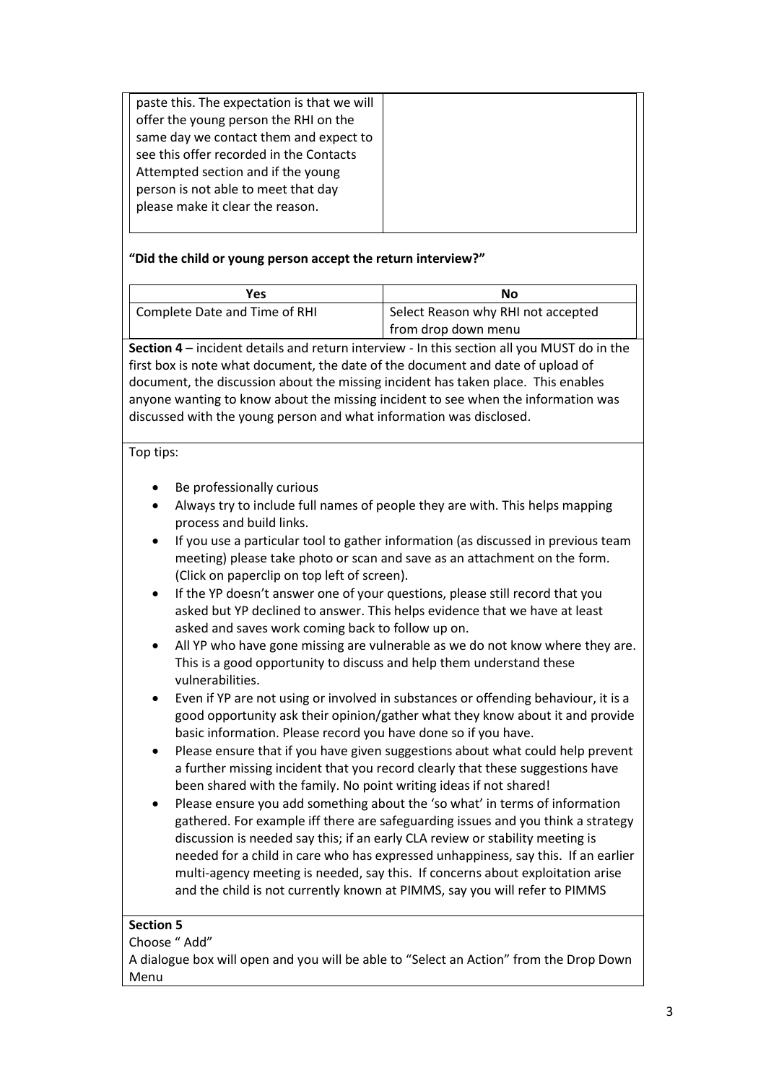## **"Did the child or young person accept the return interview?"**

| Yes                           | No                                 |
|-------------------------------|------------------------------------|
| Complete Date and Time of RHI | Select Reason why RHI not accepted |
|                               | from drop down menu                |

**Section 4** – incident details and return interview - In this section all you MUST do in the first box is note what document, the date of the document and date of upload of document, the discussion about the missing incident has taken place. This enables anyone wanting to know about the missing incident to see when the information was discussed with the young person and what information was disclosed.

## Top tips:

- Be professionally curious
- Always try to include full names of people they are with. This helps mapping process and build links.
- If you use a particular tool to gather information (as discussed in previous team meeting) please take photo or scan and save as an attachment on the form. (Click on paperclip on top left of screen).
- If the YP doesn't answer one of your questions, please still record that you asked but YP declined to answer. This helps evidence that we have at least asked and saves work coming back to follow up on.
- All YP who have gone missing are vulnerable as we do not know where they are. This is a good opportunity to discuss and help them understand these vulnerabilities.
- Even if YP are not using or involved in substances or offending behaviour, it is a good opportunity ask their opinion/gather what they know about it and provide basic information. Please record you have done so if you have.
- Please ensure that if you have given suggestions about what could help prevent a further missing incident that you record clearly that these suggestions have been shared with the family. No point writing ideas if not shared!
- Please ensure you add something about the 'so what' in terms of information gathered. For example iff there are safeguarding issues and you think a strategy discussion is needed say this; if an early CLA review or stability meeting is needed for a child in care who has expressed unhappiness, say this. If an earlier multi-agency meeting is needed, say this. If concerns about exploitation arise and the child is not currently known at PIMMS, say you will refer to PIMMS

## **Section 5**

Choose " Add"

A dialogue box will open and you will be able to "Select an Action" from the Drop Down Menu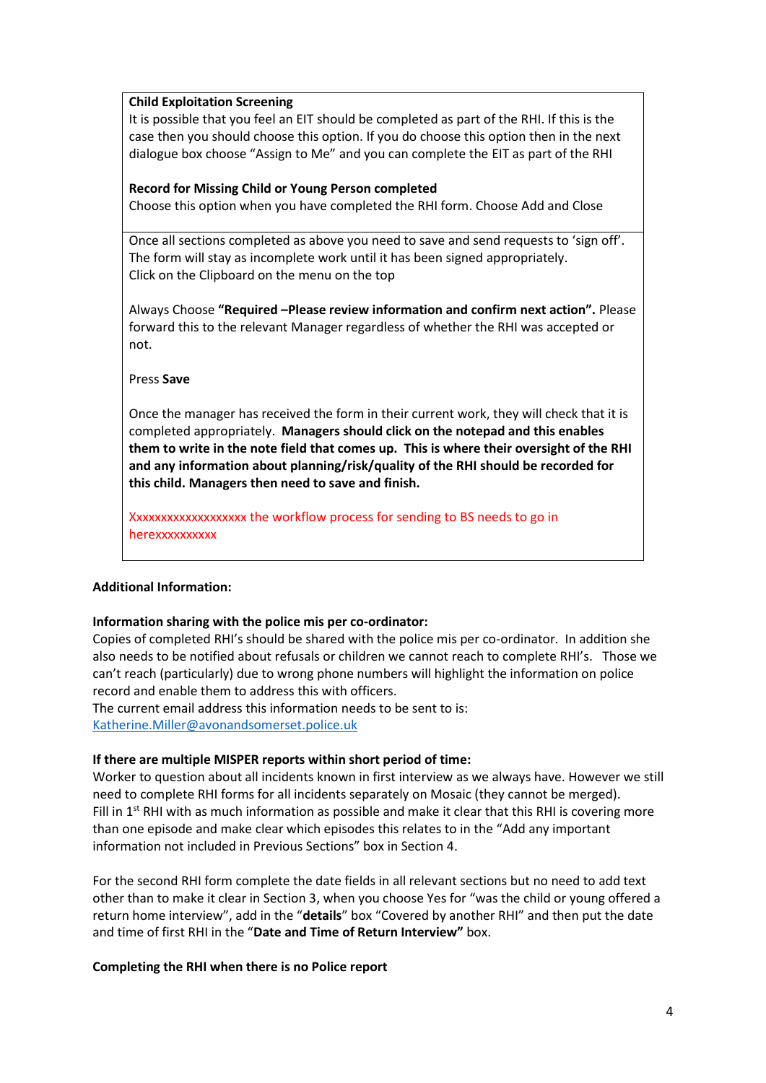## **Child Exploitation Screening**

It is possible that you feel an EIT should be completed as part of the RHI. If this is the case then you should choose this option. If you do choose this option then in the next dialogue box choose "Assign to Me" and you can complete the EIT as part of the RHI

### **Record for Missing Child or Young Person completed**

Choose this option when you have completed the RHI form. Choose Add and Close

Once all sections completed as above you need to save and send requests to 'sign off'. The form will stay as incomplete work until it has been signed appropriately. Click on the Clipboard on the menu on the top

Always Choose **"Required –Please review information and confirm next action".** Please forward this to the relevant Manager regardless of whether the RHI was accepted or not.

#### Press **Save**

Once the manager has received the form in their current work, they will check that it is completed appropriately. **Managers should click on the notepad and this enables them to write in the note field that comes up. This is where their oversight of the RHI and any information about planning/risk/quality of the RHI should be recorded for this child. Managers then need to save and finish.** 

Xxxxxxxxxxxxxxxxxxx the workflow process for sending to BS needs to go in herexxxxxxxxxx

### **Additional Information:**

### **Information sharing with the police mis per co-ordinator:**

Copies of completed RHI's should be shared with the police mis per co-ordinator. In addition she also needs to be notified about refusals or children we cannot reach to complete RHI's. Those we can't reach (particularly) due to wrong phone numbers will highlight the information on police record and enable them to address this with officers.

The current email address this information needs to be sent to is: [Katherine](mailto:Catharine.Fletcher@avonandsomerset.police.uk)[.Miller@avonandsomerset.police.uk](mailto:Miller@avonandsomerset.police.uk)

### **If there are multiple MISPER reports within short period of time:**

Worker to question about all incidents known in first interview as we always have. However we still need to complete RHI forms for all incidents separately on Mosaic (they cannot be merged). Fill in  $1<sup>st</sup>$  RHI with as much information as possible and make it clear that this RHI is covering more than one episode and make clear which episodes this relates to in the "Add any important information not included in Previous Sections" box in Section 4.

For the second RHI form complete the date fields in all relevant sections but no need to add text other than to make it clear in Section 3, when you choose Yes for "was the child or young offered a return home interview", add in the "**details**" box "Covered by another RHI" and then put the date and time of first RHI in the "**Date and Time of Return Interview"** box.

### **Completing the RHI when there is no Police report**